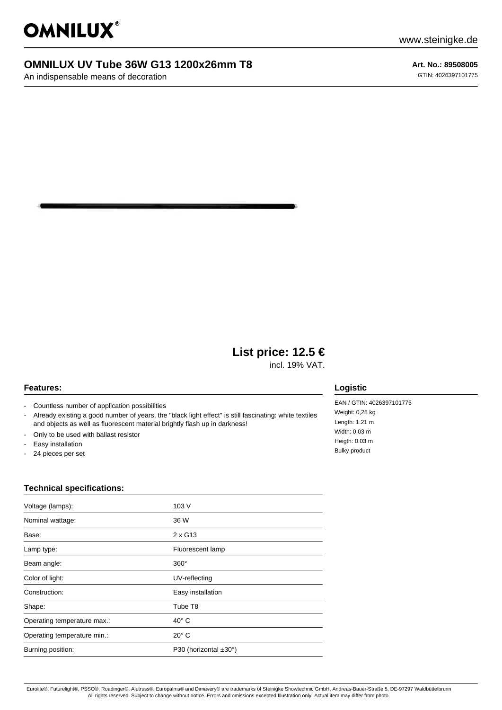

# **OMNILUX UV Tube 36W G13 1200x26mm T8**

An indispensable means of decoration

**Art. No.: 89508005** GTIN: 4026397101775

# **List price: 12.5 €**

incl. 19% VAT.

#### **Features:**

- Countless number of application possibilities
- Already existing a good number of years, the "black light effect" is still fascinating: white textiles and objects as well as fluorescent material brightly flash up in darkness!
- Only to be used with ballast resistor
- Easy installation
- 24 pieces per set

### **Logistic**

EAN / GTIN: 4026397101775 Weight: 0,28 kg Length: 1.21 m Width: 0.03 m Heigth: 0.03 m Bulky product

### **Technical specifications:**

| Voltage (lamps):            | 103V                  |
|-----------------------------|-----------------------|
| Nominal wattage:            | 36 W                  |
| Base:                       | $2 \times G13$        |
| Lamp type:                  | Fluorescent lamp      |
| Beam angle:                 | $360^\circ$           |
| Color of light:             | UV-reflecting         |
| Construction:               | Easy installation     |
| Shape:                      | Tube T8               |
| Operating temperature max.: | $40^\circ$ C          |
| Operating temperature min.: | $20^{\circ}$ C        |
| Burning position:           | P30 (horizontal ±30°) |
|                             |                       |

Eurolite®, Futurelight®, PSSO®, Roadinger®, Alutruss®, Europalms® and Dimavery® are trademarks of Steinigke Showtechnic GmbH, Andreas-Bauer-Straße 5, DE-97297 Waldbüttelbrunn All rights reserved. Subject to change without notice. Errors and omissions excepted.Illustration only. Actual item may differ from photo.